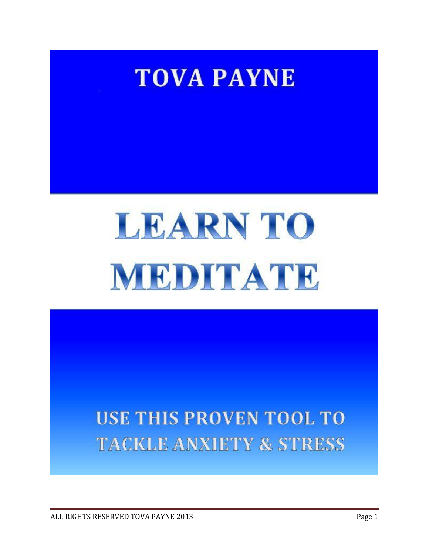

# **LEARN TO** MEDITATE

# **USE THIS PROVEN TOOL TO TACKLE ANXIETY & STRESS**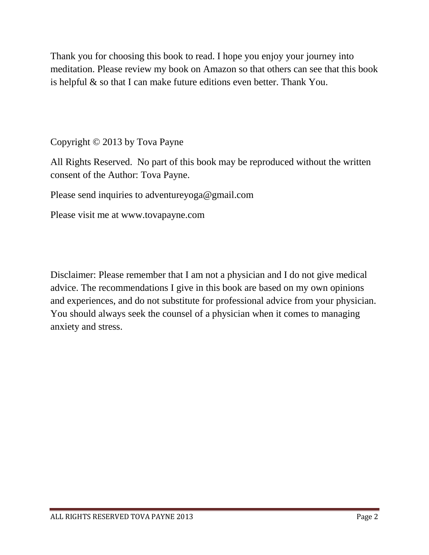Thank you for choosing this book to read. I hope you enjoy your journey into meditation. Please review my book on Amazon so that others can see that this book is helpful  $\&$  so that I can make future editions even better. Thank You.

Copyright © 2013 by Tova Payne

All Rights Reserved. No part of this book may be reproduced without the written consent of the Author: Tova Payne.

Please send inquiries to adventureyoga@gmail.com

Please visit me at www.tovapayne.com

Disclaimer: Please remember that I am not a physician and I do not give medical advice. The recommendations I give in this book are based on my own opinions and experiences, and do not substitute for professional advice from your physician. You should always seek the counsel of a physician when it comes to managing anxiety and stress.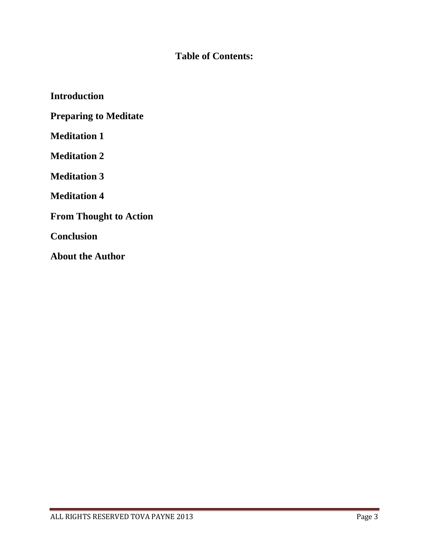# **Table of Contents:**

**Introduction Preparing to Meditate Meditation 1 Meditation 2 Meditation 3 Meditation 4 From Thought to Action Conclusion About the Author**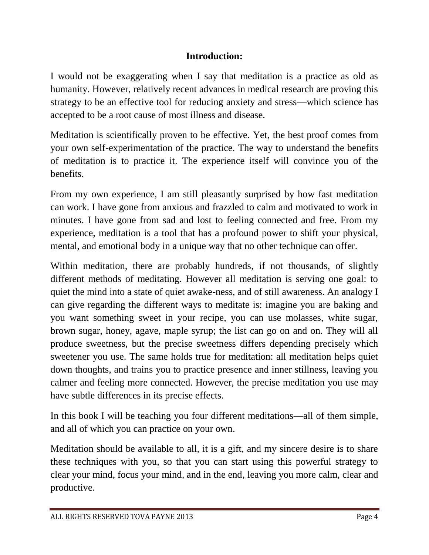#### **Introduction:**

I would not be exaggerating when I say that meditation is a practice as old as humanity. However, relatively recent advances in medical research are proving this strategy to be an effective tool for reducing anxiety and stress—which science has accepted to be a root cause of most illness and disease.

Meditation is scientifically proven to be effective. Yet, the best proof comes from your own self-experimentation of the practice. The way to understand the benefits of meditation is to practice it. The experience itself will convince you of the benefits.

From my own experience, I am still pleasantly surprised by how fast meditation can work. I have gone from anxious and frazzled to calm and motivated to work in minutes. I have gone from sad and lost to feeling connected and free. From my experience, meditation is a tool that has a profound power to shift your physical, mental, and emotional body in a unique way that no other technique can offer.

Within meditation, there are probably hundreds, if not thousands, of slightly different methods of meditating. However all meditation is serving one goal: to quiet the mind into a state of quiet awake-ness, and of still awareness. An analogy I can give regarding the different ways to meditate is: imagine you are baking and you want something sweet in your recipe, you can use molasses, white sugar, brown sugar, honey, agave, maple syrup; the list can go on and on. They will all produce sweetness, but the precise sweetness differs depending precisely which sweetener you use. The same holds true for meditation: all meditation helps quiet down thoughts, and trains you to practice presence and inner stillness, leaving you calmer and feeling more connected. However, the precise meditation you use may have subtle differences in its precise effects.

In this book I will be teaching you four different meditations—all of them simple, and all of which you can practice on your own.

Meditation should be available to all, it is a gift, and my sincere desire is to share these techniques with you, so that you can start using this powerful strategy to clear your mind, focus your mind, and in the end, leaving you more calm, clear and productive.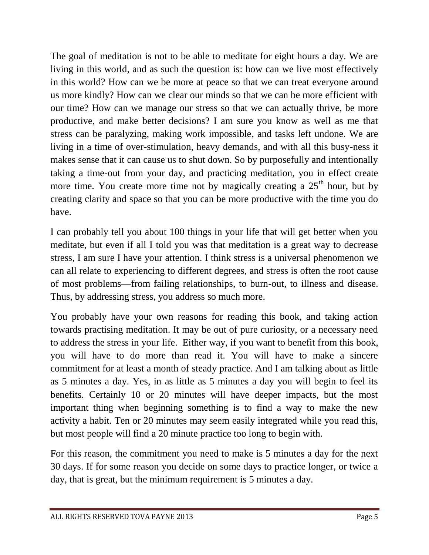The goal of meditation is not to be able to meditate for eight hours a day. We are living in this world, and as such the question is: how can we live most effectively in this world? How can we be more at peace so that we can treat everyone around us more kindly? How can we clear our minds so that we can be more efficient with our time? How can we manage our stress so that we can actually thrive, be more productive, and make better decisions? I am sure you know as well as me that stress can be paralyzing, making work impossible, and tasks left undone. We are living in a time of over-stimulation, heavy demands, and with all this busy-ness it makes sense that it can cause us to shut down. So by purposefully and intentionally taking a time-out from your day, and practicing meditation, you in effect create more time. You create more time not by magically creating a  $25<sup>th</sup>$  hour, but by creating clarity and space so that you can be more productive with the time you do have.

I can probably tell you about 100 things in your life that will get better when you meditate, but even if all I told you was that meditation is a great way to decrease stress, I am sure I have your attention. I think stress is a universal phenomenon we can all relate to experiencing to different degrees, and stress is often the root cause of most problems—from failing relationships, to burn-out, to illness and disease. Thus, by addressing stress, you address so much more.

You probably have your own reasons for reading this book, and taking action towards practising meditation. It may be out of pure curiosity, or a necessary need to address the stress in your life. Either way, if you want to benefit from this book, you will have to do more than read it. You will have to make a sincere commitment for at least a month of steady practice. And I am talking about as little as 5 minutes a day. Yes, in as little as 5 minutes a day you will begin to feel its benefits. Certainly 10 or 20 minutes will have deeper impacts, but the most important thing when beginning something is to find a way to make the new activity a habit. Ten or 20 minutes may seem easily integrated while you read this, but most people will find a 20 minute practice too long to begin with.

For this reason, the commitment you need to make is 5 minutes a day for the next 30 days. If for some reason you decide on some days to practice longer, or twice a day, that is great, but the minimum requirement is 5 minutes a day.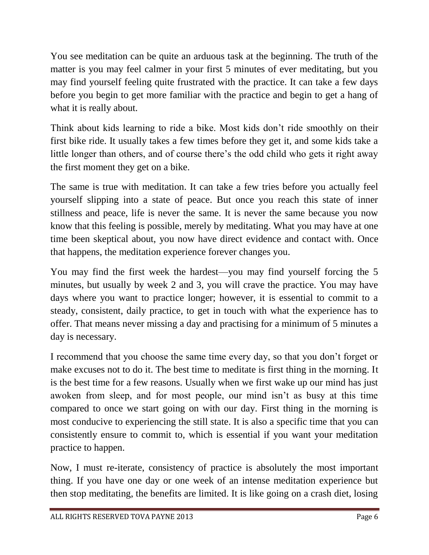You see meditation can be quite an arduous task at the beginning. The truth of the matter is you may feel calmer in your first 5 minutes of ever meditating, but you may find yourself feeling quite frustrated with the practice. It can take a few days before you begin to get more familiar with the practice and begin to get a hang of what it is really about.

Think about kids learning to ride a bike. Most kids don't ride smoothly on their first bike ride. It usually takes a few times before they get it, and some kids take a little longer than others, and of course there's the odd child who gets it right away the first moment they get on a bike.

The same is true with meditation. It can take a few tries before you actually feel yourself slipping into a state of peace. But once you reach this state of inner stillness and peace, life is never the same. It is never the same because you now know that this feeling is possible, merely by meditating. What you may have at one time been skeptical about, you now have direct evidence and contact with. Once that happens, the meditation experience forever changes you.

You may find the first week the hardest—you may find yourself forcing the 5 minutes, but usually by week 2 and 3, you will crave the practice. You may have days where you want to practice longer; however, it is essential to commit to a steady, consistent, daily practice, to get in touch with what the experience has to offer. That means never missing a day and practising for a minimum of 5 minutes a day is necessary.

I recommend that you choose the same time every day, so that you don't forget or make excuses not to do it. The best time to meditate is first thing in the morning. It is the best time for a few reasons. Usually when we first wake up our mind has just awoken from sleep, and for most people, our mind isn't as busy at this time compared to once we start going on with our day. First thing in the morning is most conducive to experiencing the still state. It is also a specific time that you can consistently ensure to commit to, which is essential if you want your meditation practice to happen.

Now, I must re-iterate, consistency of practice is absolutely the most important thing. If you have one day or one week of an intense meditation experience but then stop meditating, the benefits are limited. It is like going on a crash diet, losing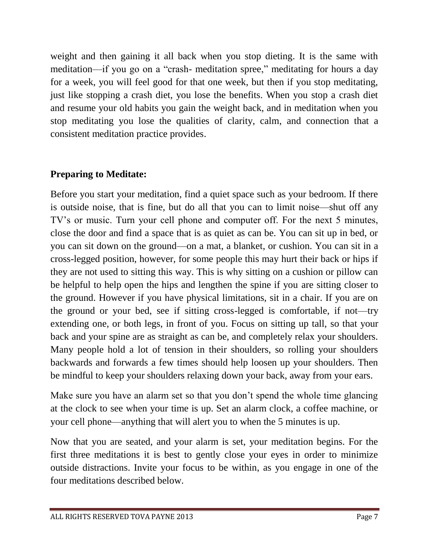weight and then gaining it all back when you stop dieting. It is the same with meditation—if you go on a "crash- meditation spree," meditating for hours a day for a week, you will feel good for that one week, but then if you stop meditating, just like stopping a crash diet, you lose the benefits. When you stop a crash diet and resume your old habits you gain the weight back, and in meditation when you stop meditating you lose the qualities of clarity, calm, and connection that a consistent meditation practice provides.

# **Preparing to Meditate:**

Before you start your meditation, find a quiet space such as your bedroom. If there is outside noise, that is fine, but do all that you can to limit noise—shut off any TV's or music. Turn your cell phone and computer off. For the next 5 minutes, close the door and find a space that is as quiet as can be. You can sit up in bed, or you can sit down on the ground—on a mat, a blanket, or cushion. You can sit in a cross-legged position, however, for some people this may hurt their back or hips if they are not used to sitting this way. This is why sitting on a cushion or pillow can be helpful to help open the hips and lengthen the spine if you are sitting closer to the ground. However if you have physical limitations, sit in a chair. If you are on the ground or your bed, see if sitting cross-legged is comfortable, if not—try extending one, or both legs, in front of you. Focus on sitting up tall, so that your back and your spine are as straight as can be, and completely relax your shoulders. Many people hold a lot of tension in their shoulders, so rolling your shoulders backwards and forwards a few times should help loosen up your shoulders. Then be mindful to keep your shoulders relaxing down your back, away from your ears.

Make sure you have an alarm set so that you don't spend the whole time glancing at the clock to see when your time is up. Set an alarm clock, a coffee machine, or your cell phone—anything that will alert you to when the 5 minutes is up.

Now that you are seated, and your alarm is set, your meditation begins. For the first three meditations it is best to gently close your eyes in order to minimize outside distractions. Invite your focus to be within, as you engage in one of the four meditations described below.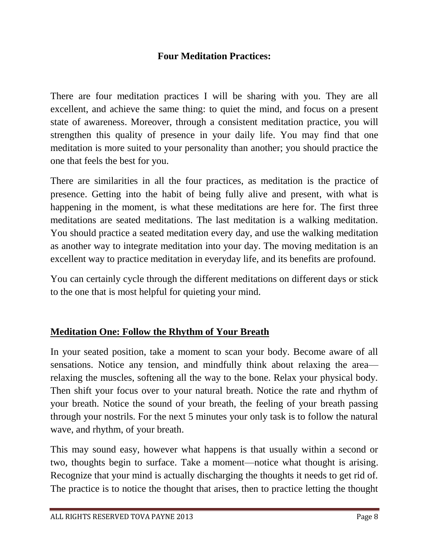#### **Four Meditation Practices:**

There are four meditation practices I will be sharing with you. They are all excellent, and achieve the same thing: to quiet the mind, and focus on a present state of awareness. Moreover, through a consistent meditation practice, you will strengthen this quality of presence in your daily life. You may find that one meditation is more suited to your personality than another; you should practice the one that feels the best for you.

There are similarities in all the four practices, as meditation is the practice of presence. Getting into the habit of being fully alive and present, with what is happening in the moment, is what these meditations are here for. The first three meditations are seated meditations. The last meditation is a walking meditation. You should practice a seated meditation every day, and use the walking meditation as another way to integrate meditation into your day. The moving meditation is an excellent way to practice meditation in everyday life, and its benefits are profound.

You can certainly cycle through the different meditations on different days or stick to the one that is most helpful for quieting your mind.

# **Meditation One: Follow the Rhythm of Your Breath**

In your seated position, take a moment to scan your body. Become aware of all sensations. Notice any tension, and mindfully think about relaxing the area relaxing the muscles, softening all the way to the bone. Relax your physical body. Then shift your focus over to your natural breath. Notice the rate and rhythm of your breath. Notice the sound of your breath, the feeling of your breath passing through your nostrils. For the next 5 minutes your only task is to follow the natural wave, and rhythm, of your breath.

This may sound easy, however what happens is that usually within a second or two, thoughts begin to surface. Take a moment—notice what thought is arising. Recognize that your mind is actually discharging the thoughts it needs to get rid of. The practice is to notice the thought that arises, then to practice letting the thought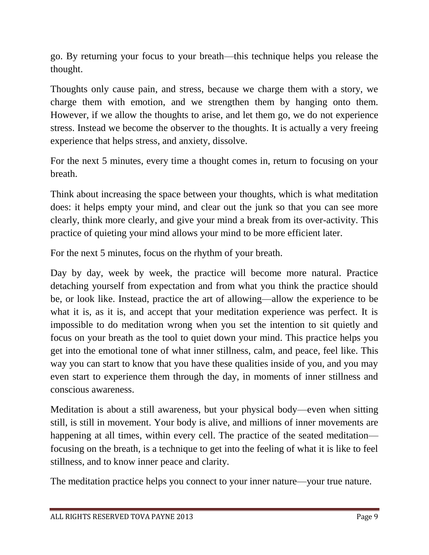go. By returning your focus to your breath—this technique helps you release the thought.

Thoughts only cause pain, and stress, because we charge them with a story, we charge them with emotion, and we strengthen them by hanging onto them. However, if we allow the thoughts to arise, and let them go, we do not experience stress. Instead we become the observer to the thoughts. It is actually a very freeing experience that helps stress, and anxiety, dissolve.

For the next 5 minutes, every time a thought comes in, return to focusing on your breath.

Think about increasing the space between your thoughts, which is what meditation does: it helps empty your mind, and clear out the junk so that you can see more clearly, think more clearly, and give your mind a break from its over-activity. This practice of quieting your mind allows your mind to be more efficient later.

For the next 5 minutes, focus on the rhythm of your breath.

Day by day, week by week, the practice will become more natural. Practice detaching yourself from expectation and from what you think the practice should be, or look like. Instead, practice the art of allowing—allow the experience to be what it is, as it is, and accept that your meditation experience was perfect. It is impossible to do meditation wrong when you set the intention to sit quietly and focus on your breath as the tool to quiet down your mind. This practice helps you get into the emotional tone of what inner stillness, calm, and peace, feel like. This way you can start to know that you have these qualities inside of you, and you may even start to experience them through the day, in moments of inner stillness and conscious awareness.

Meditation is about a still awareness, but your physical body—even when sitting still, is still in movement. Your body is alive, and millions of inner movements are happening at all times, within every cell. The practice of the seated meditation focusing on the breath, is a technique to get into the feeling of what it is like to feel stillness, and to know inner peace and clarity.

The meditation practice helps you connect to your inner nature—your true nature.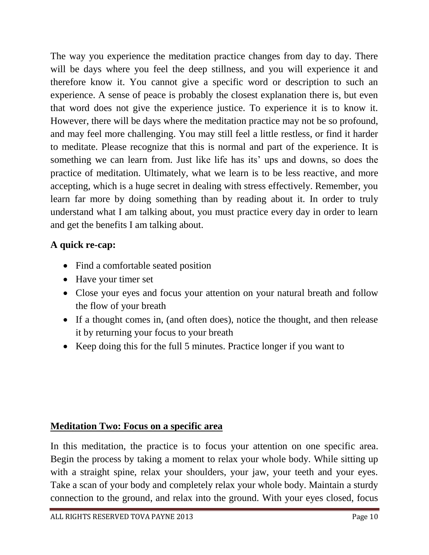The way you experience the meditation practice changes from day to day. There will be days where you feel the deep stillness, and you will experience it and therefore know it. You cannot give a specific word or description to such an experience. A sense of peace is probably the closest explanation there is, but even that word does not give the experience justice. To experience it is to know it. However, there will be days where the meditation practice may not be so profound, and may feel more challenging. You may still feel a little restless, or find it harder to meditate. Please recognize that this is normal and part of the experience. It is something we can learn from. Just like life has its' ups and downs, so does the practice of meditation. Ultimately, what we learn is to be less reactive, and more accepting, which is a huge secret in dealing with stress effectively. Remember, you learn far more by doing something than by reading about it. In order to truly understand what I am talking about, you must practice every day in order to learn and get the benefits I am talking about.

# **A quick re-cap:**

- Find a comfortable seated position
- Have your timer set
- Close your eyes and focus your attention on your natural breath and follow the flow of your breath
- If a thought comes in, (and often does), notice the thought, and then release it by returning your focus to your breath
- Keep doing this for the full 5 minutes. Practice longer if you want to

# **Meditation Two: Focus on a specific area**

In this meditation, the practice is to focus your attention on one specific area. Begin the process by taking a moment to relax your whole body. While sitting up with a straight spine, relax your shoulders, your jaw, your teeth and your eyes. Take a scan of your body and completely relax your whole body. Maintain a sturdy connection to the ground, and relax into the ground. With your eyes closed, focus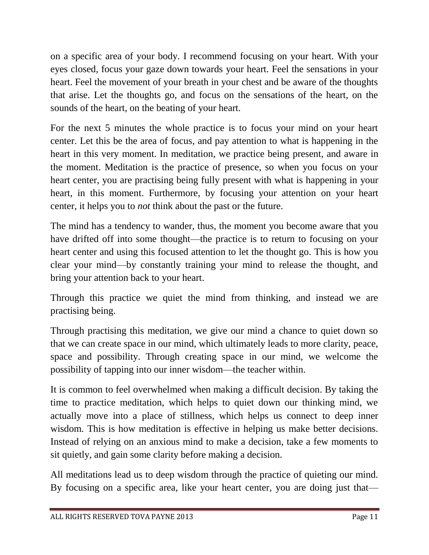on a specific area of your body. I recommend focusing on your heart. With your eyes closed, focus your gaze down towards your heart. Feel the sensations in your heart. Feel the movement of your breath in your chest and be aware of the thoughts that arise. Let the thoughts go, and focus on the sensations of the heart, on the sounds of the heart, on the beating of your heart.

For the next 5 minutes the whole practice is to focus your mind on your heart center. Let this be the area of focus, and pay attention to what is happening in the heart in this very moment. In meditation, we practice being present, and aware in the moment. Meditation is the practice of presence, so when you focus on your heart center, you are practising being fully present with what is happening in your heart, in this moment. Furthermore, by focusing your attention on your heart center, it helps you to *not* think about the past or the future.

The mind has a tendency to wander, thus, the moment you become aware that you have drifted off into some thought—the practice is to return to focusing on your heart center and using this focused attention to let the thought go. This is how you clear your mind—by constantly training your mind to release the thought, and bring your attention back to your heart.

Through this practice we quiet the mind from thinking, and instead we are practising being.

Through practising this meditation, we give our mind a chance to quiet down so that we can create space in our mind, which ultimately leads to more clarity, peace, space and possibility. Through creating space in our mind, we welcome the possibility of tapping into our inner wisdom—the teacher within.

It is common to feel overwhelmed when making a difficult decision. By taking the time to practice meditation, which helps to quiet down our thinking mind, we actually move into a place of stillness, which helps us connect to deep inner wisdom. This is how meditation is effective in helping us make better decisions. Instead of relying on an anxious mind to make a decision, take a few moments to sit quietly, and gain some clarity before making a decision.

All meditations lead us to deep wisdom through the practice of quieting our mind. By focusing on a specific area, like your heart center, you are doing just that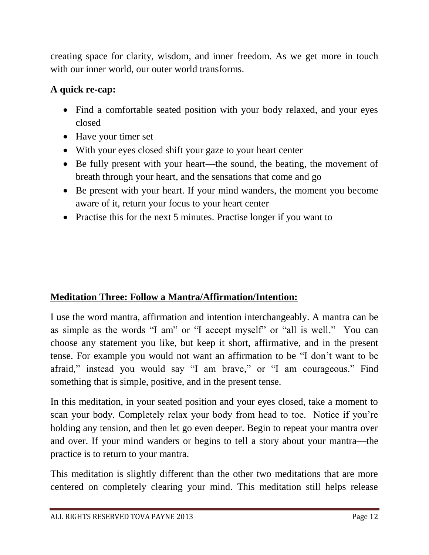creating space for clarity, wisdom, and inner freedom. As we get more in touch with our inner world, our outer world transforms.

# **A quick re-cap:**

- Find a comfortable seated position with your body relaxed, and your eyes closed
- Have your timer set
- With your eyes closed shift your gaze to your heart center
- Be fully present with your heart—the sound, the beating, the movement of breath through your heart, and the sensations that come and go
- Be present with your heart. If your mind wanders, the moment you become aware of it, return your focus to your heart center
- Practise this for the next 5 minutes. Practise longer if you want to

# **Meditation Three: Follow a Mantra/Affirmation/Intention:**

I use the word mantra, affirmation and intention interchangeably. A mantra can be as simple as the words "I am" or "I accept myself" or "all is well." You can choose any statement you like, but keep it short, affirmative, and in the present tense. For example you would not want an affirmation to be "I don't want to be afraid," instead you would say "I am brave," or "I am courageous." Find something that is simple, positive, and in the present tense.

In this meditation, in your seated position and your eyes closed, take a moment to scan your body. Completely relax your body from head to toe. Notice if you're holding any tension, and then let go even deeper. Begin to repeat your mantra over and over. If your mind wanders or begins to tell a story about your mantra—the practice is to return to your mantra.

This meditation is slightly different than the other two meditations that are more centered on completely clearing your mind. This meditation still helps release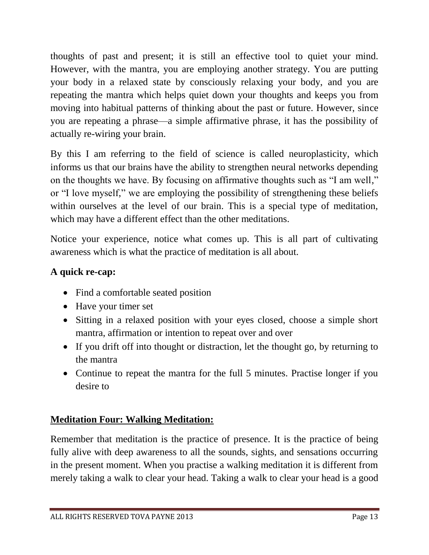thoughts of past and present; it is still an effective tool to quiet your mind. However, with the mantra, you are employing another strategy. You are putting your body in a relaxed state by consciously relaxing your body, and you are repeating the mantra which helps quiet down your thoughts and keeps you from moving into habitual patterns of thinking about the past or future. However, since you are repeating a phrase—a simple affirmative phrase, it has the possibility of actually re-wiring your brain.

By this I am referring to the field of science is called neuroplasticity, which informs us that our brains have the ability to strengthen neural networks depending on the thoughts we have. By focusing on affirmative thoughts such as "I am well," or "I love myself," we are employing the possibility of strengthening these beliefs within ourselves at the level of our brain. This is a special type of meditation, which may have a different effect than the other meditations.

Notice your experience, notice what comes up. This is all part of cultivating awareness which is what the practice of meditation is all about.

# **A quick re-cap:**

- Find a comfortable seated position
- Have your timer set
- Sitting in a relaxed position with your eyes closed, choose a simple short mantra, affirmation or intention to repeat over and over
- If you drift off into thought or distraction, let the thought go, by returning to the mantra
- Continue to repeat the mantra for the full 5 minutes. Practise longer if you desire to

# **Meditation Four: Walking Meditation:**

Remember that meditation is the practice of presence. It is the practice of being fully alive with deep awareness to all the sounds, sights, and sensations occurring in the present moment. When you practise a walking meditation it is different from merely taking a walk to clear your head. Taking a walk to clear your head is a good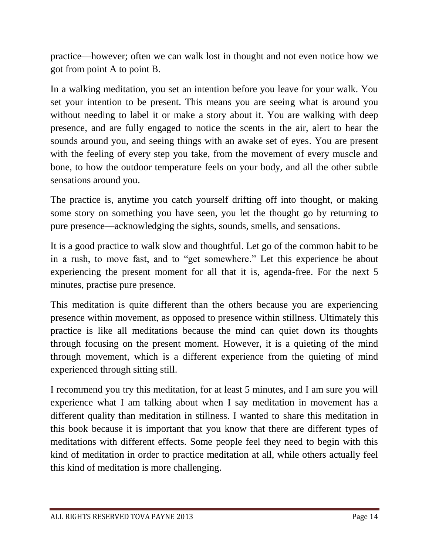practice—however; often we can walk lost in thought and not even notice how we got from point A to point B.

In a walking meditation, you set an intention before you leave for your walk. You set your intention to be present. This means you are seeing what is around you without needing to label it or make a story about it. You are walking with deep presence, and are fully engaged to notice the scents in the air, alert to hear the sounds around you, and seeing things with an awake set of eyes. You are present with the feeling of every step you take, from the movement of every muscle and bone, to how the outdoor temperature feels on your body, and all the other subtle sensations around you.

The practice is, anytime you catch yourself drifting off into thought, or making some story on something you have seen, you let the thought go by returning to pure presence—acknowledging the sights, sounds, smells, and sensations.

It is a good practice to walk slow and thoughtful. Let go of the common habit to be in a rush, to move fast, and to "get somewhere." Let this experience be about experiencing the present moment for all that it is, agenda-free. For the next 5 minutes, practise pure presence.

This meditation is quite different than the others because you are experiencing presence within movement, as opposed to presence within stillness. Ultimately this practice is like all meditations because the mind can quiet down its thoughts through focusing on the present moment. However, it is a quieting of the mind through movement, which is a different experience from the quieting of mind experienced through sitting still.

I recommend you try this meditation, for at least 5 minutes, and I am sure you will experience what I am talking about when I say meditation in movement has a different quality than meditation in stillness. I wanted to share this meditation in this book because it is important that you know that there are different types of meditations with different effects. Some people feel they need to begin with this kind of meditation in order to practice meditation at all, while others actually feel this kind of meditation is more challenging.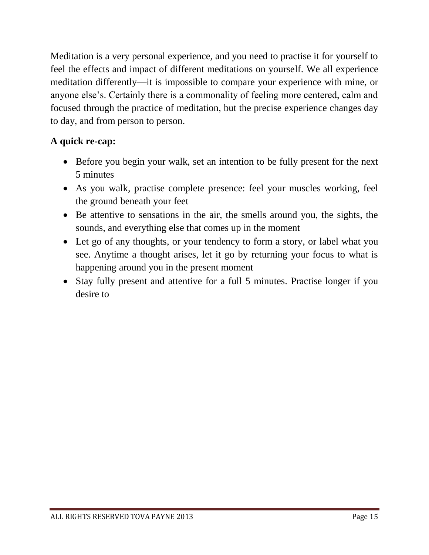Meditation is a very personal experience, and you need to practise it for yourself to feel the effects and impact of different meditations on yourself. We all experience meditation differently—it is impossible to compare your experience with mine, or anyone else's. Certainly there is a commonality of feeling more centered, calm and focused through the practice of meditation, but the precise experience changes day to day, and from person to person.

# **A quick re-cap:**

- Before you begin your walk, set an intention to be fully present for the next 5 minutes
- As you walk, practise complete presence: feel your muscles working, feel the ground beneath your feet
- Be attentive to sensations in the air, the smells around you, the sights, the sounds, and everything else that comes up in the moment
- Let go of any thoughts, or your tendency to form a story, or label what you see. Anytime a thought arises, let it go by returning your focus to what is happening around you in the present moment
- Stay fully present and attentive for a full 5 minutes. Practise longer if you desire to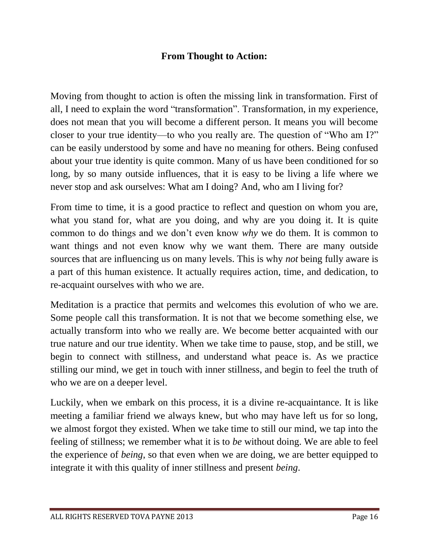# **From Thought to Action:**

Moving from thought to action is often the missing link in transformation. First of all, I need to explain the word "transformation". Transformation, in my experience, does not mean that you will become a different person. It means you will become closer to your true identity—to who you really are. The question of "Who am I?" can be easily understood by some and have no meaning for others. Being confused about your true identity is quite common. Many of us have been conditioned for so long, by so many outside influences, that it is easy to be living a life where we never stop and ask ourselves: What am I doing? And, who am I living for?

From time to time, it is a good practice to reflect and question on whom you are, what you stand for, what are you doing, and why are you doing it. It is quite common to do things and we don't even know *why* we do them. It is common to want things and not even know why we want them. There are many outside sources that are influencing us on many levels. This is why *not* being fully aware is a part of this human existence. It actually requires action, time, and dedication, to re-acquaint ourselves with who we are.

Meditation is a practice that permits and welcomes this evolution of who we are. Some people call this transformation. It is not that we become something else, we actually transform into who we really are. We become better acquainted with our true nature and our true identity. When we take time to pause, stop, and be still, we begin to connect with stillness, and understand what peace is. As we practice stilling our mind, we get in touch with inner stillness, and begin to feel the truth of who we are on a deeper level.

Luckily, when we embark on this process, it is a divine re-acquaintance. It is like meeting a familiar friend we always knew, but who may have left us for so long, we almost forgot they existed. When we take time to still our mind, we tap into the feeling of stillness; we remember what it is to *be* without doing. We are able to feel the experience of *being*, so that even when we are doing, we are better equipped to integrate it with this quality of inner stillness and present *being*.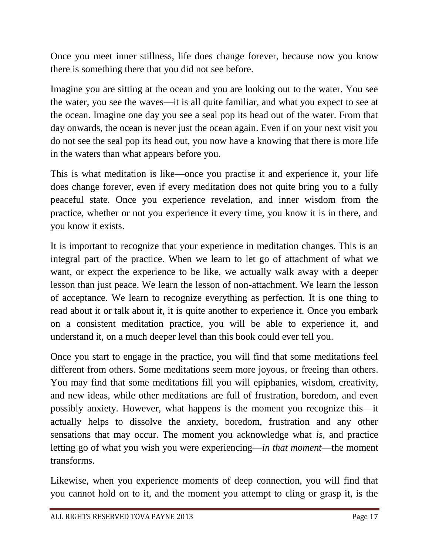Once you meet inner stillness, life does change forever, because now you know there is something there that you did not see before.

Imagine you are sitting at the ocean and you are looking out to the water. You see the water, you see the waves—it is all quite familiar, and what you expect to see at the ocean. Imagine one day you see a seal pop its head out of the water. From that day onwards, the ocean is never just the ocean again. Even if on your next visit you do not see the seal pop its head out, you now have a knowing that there is more life in the waters than what appears before you.

This is what meditation is like—once you practise it and experience it, your life does change forever, even if every meditation does not quite bring you to a fully peaceful state. Once you experience revelation, and inner wisdom from the practice, whether or not you experience it every time, you know it is in there, and you know it exists.

It is important to recognize that your experience in meditation changes. This is an integral part of the practice. When we learn to let go of attachment of what we want, or expect the experience to be like, we actually walk away with a deeper lesson than just peace. We learn the lesson of non-attachment. We learn the lesson of acceptance. We learn to recognize everything as perfection. It is one thing to read about it or talk about it, it is quite another to experience it. Once you embark on a consistent meditation practice, you will be able to experience it, and understand it, on a much deeper level than this book could ever tell you.

Once you start to engage in the practice, you will find that some meditations feel different from others. Some meditations seem more joyous, or freeing than others. You may find that some meditations fill you will epiphanies, wisdom, creativity, and new ideas, while other meditations are full of frustration, boredom, and even possibly anxiety. However, what happens is the moment you recognize this—it actually helps to dissolve the anxiety, boredom, frustration and any other sensations that may occur. The moment you acknowledge what *is*, and practice letting go of what you wish you were experiencing—*in that moment*—the moment transforms.

Likewise, when you experience moments of deep connection, you will find that you cannot hold on to it, and the moment you attempt to cling or grasp it, is the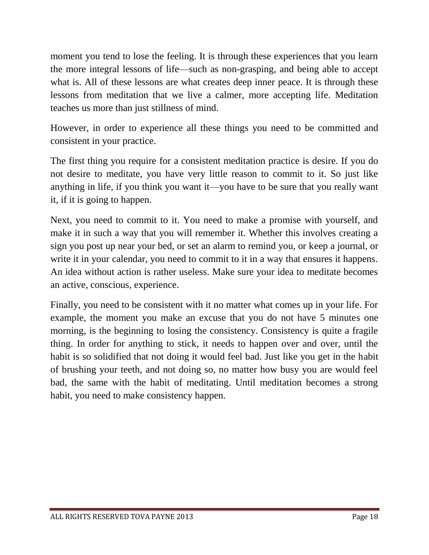moment you tend to lose the feeling. It is through these experiences that you learn the more integral lessons of life—such as non-grasping, and being able to accept what is. All of these lessons are what creates deep inner peace. It is through these lessons from meditation that we live a calmer, more accepting life. Meditation teaches us more than just stillness of mind.

However, in order to experience all these things you need to be committed and consistent in your practice.

The first thing you require for a consistent meditation practice is desire. If you do not desire to meditate, you have very little reason to commit to it. So just like anything in life, if you think you want it—you have to be sure that you really want it, if it is going to happen.

Next, you need to commit to it. You need to make a promise with yourself, and make it in such a way that you will remember it. Whether this involves creating a sign you post up near your bed, or set an alarm to remind you, or keep a journal, or write it in your calendar, you need to commit to it in a way that ensures it happens. An idea without action is rather useless. Make sure your idea to meditate becomes an active, conscious, experience.

Finally, you need to be consistent with it no matter what comes up in your life. For example, the moment you make an excuse that you do not have 5 minutes one morning, is the beginning to losing the consistency. Consistency is quite a fragile thing. In order for anything to stick, it needs to happen over and over, until the habit is so solidified that not doing it would feel bad. Just like you get in the habit of brushing your teeth, and not doing so, no matter how busy you are would feel bad, the same with the habit of meditating. Until meditation becomes a strong habit, you need to make consistency happen.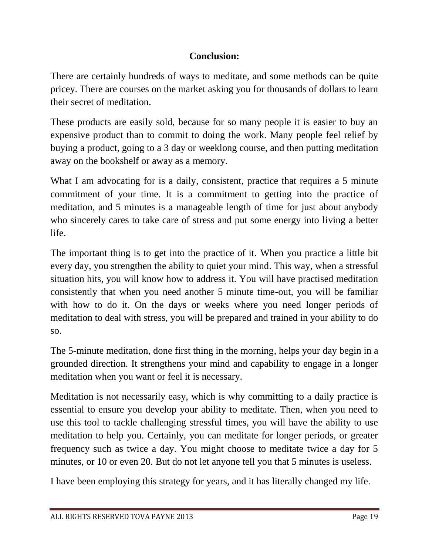# **Conclusion:**

There are certainly hundreds of ways to meditate, and some methods can be quite pricey. There are courses on the market asking you for thousands of dollars to learn their secret of meditation.

These products are easily sold, because for so many people it is easier to buy an expensive product than to commit to doing the work. Many people feel relief by buying a product, going to a 3 day or weeklong course, and then putting meditation away on the bookshelf or away as a memory.

What I am advocating for is a daily, consistent, practice that requires a 5 minute commitment of your time. It is a commitment to getting into the practice of meditation, and 5 minutes is a manageable length of time for just about anybody who sincerely cares to take care of stress and put some energy into living a better life.

The important thing is to get into the practice of it. When you practice a little bit every day, you strengthen the ability to quiet your mind. This way, when a stressful situation hits, you will know how to address it. You will have practised meditation consistently that when you need another 5 minute time-out, you will be familiar with how to do it. On the days or weeks where you need longer periods of meditation to deal with stress, you will be prepared and trained in your ability to do so.

The 5-minute meditation, done first thing in the morning, helps your day begin in a grounded direction. It strengthens your mind and capability to engage in a longer meditation when you want or feel it is necessary.

Meditation is not necessarily easy, which is why committing to a daily practice is essential to ensure you develop your ability to meditate. Then, when you need to use this tool to tackle challenging stressful times, you will have the ability to use meditation to help you. Certainly, you can meditate for longer periods, or greater frequency such as twice a day. You might choose to meditate twice a day for 5 minutes, or 10 or even 20. But do not let anyone tell you that 5 minutes is useless.

I have been employing this strategy for years, and it has literally changed my life.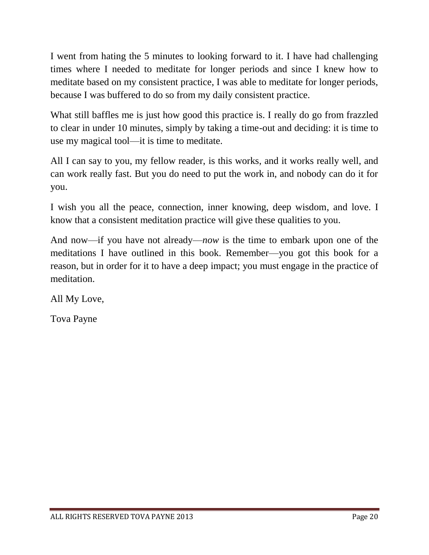I went from hating the 5 minutes to looking forward to it. I have had challenging times where I needed to meditate for longer periods and since I knew how to meditate based on my consistent practice, I was able to meditate for longer periods, because I was buffered to do so from my daily consistent practice.

What still baffles me is just how good this practice is. I really do go from frazzled to clear in under 10 minutes, simply by taking a time-out and deciding: it is time to use my magical tool—it is time to meditate.

All I can say to you, my fellow reader, is this works, and it works really well, and can work really fast. But you do need to put the work in, and nobody can do it for you.

I wish you all the peace, connection, inner knowing, deep wisdom, and love. I know that a consistent meditation practice will give these qualities to you.

And now—if you have not already—*now* is the time to embark upon one of the meditations I have outlined in this book. Remember—you got this book for a reason, but in order for it to have a deep impact; you must engage in the practice of meditation.

All My Love,

Tova Payne